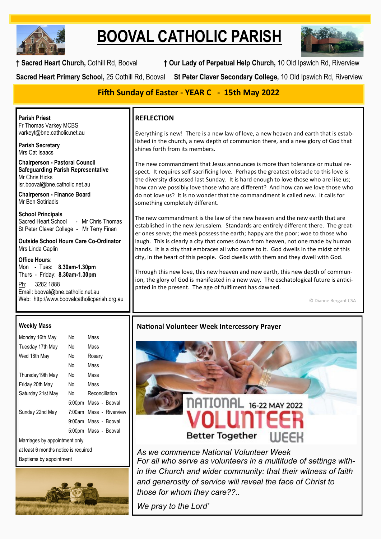

# **BOOVAL CATHOLIC PARISH**



**† Sacred Heart Church,** Cothill Rd, Booval **† Our Lady of Perpetual Help Church,** 10 Old Ipswich Rd, Riverview

**Sacred Heart Primary School,** 25 Cothill Rd, Booval **St Peter Claver Secondary College,** 10 Old Ipswich Rd, Riverview

# **Fifth Sunday of Easter - YEAR C - 15th May 2022**

**Parish Priest** Fr Thomas Varkey MCBS varkeyt@bne.catholic.net.au

**Parish Secretary** Mrs Cat Isaacs

**Chairperson - Pastoral Council Safeguarding Parish Representative** Mr Chris Hicks [lsr.booval@bne.catholic.net.au](mailto:lsr.booval@bne.catholi.net.au)

**Chairperson - Finance Board** Mr Ben Sotiriadis

**School Principals**<br>Sacred Heart School - Mr Chris Thomas St Peter Claver College - Mr Terry Finan

**Outside School Hours Care Co-Ordinator** Mrs Linda Caplin

**Office Hours**: Mon - Tues: **8.30am-1.30pm** Thurs - Friday: **8.30am-1.30pm**

Ph: 3282 1888 Email: booval@bne.catholic.net.au Web: http://www.boovalcatholicparish.org.au

#### **Weekly Mass**

| Monday 16th May                      | N٥  | Mass                    |  |  |
|--------------------------------------|-----|-------------------------|--|--|
| Tuesday 17th May                     | N٥  | Mass                    |  |  |
| Wed 18th May                         | No. | Rosary                  |  |  |
|                                      | No  | Mass                    |  |  |
| Thursday19th May                     | No. | Mass                    |  |  |
| Friday 20th May                      | N٥  | Mass                    |  |  |
| Saturday 21st May                    | No. | Reconciliation          |  |  |
|                                      |     | 5:00pm Mass - Booval    |  |  |
| Sunday 22nd May                      |     | 7:00am Mass - Riverview |  |  |
|                                      |     | 9:00am Mass - Booval    |  |  |
|                                      |     | 5:00pm Mass - Booval    |  |  |
| Marriages by appointment only        |     |                         |  |  |
| at least 6 months notice is required |     |                         |  |  |
| Baptisms by appointment              |     |                         |  |  |



## **REFLECTION**

Everything is new! There is a new law of love, a new heaven and earth that is established in the church, a new depth of communion there, and a new glory of God that shines forth from its members.

The new commandment that Jesus announces is more than tolerance or mutual respect. It requires self-sacrificing love. Perhaps the greatest obstacle to this love is the diversity discussed last Sunday. It is hard enough to love those who are like us; how can we possibly love those who are different? And how can we love those who do not love us? It is no wonder that the commandment is called new. It calls for something completely different.

The new commandment is the law of the new heaven and the new earth that are established in the new Jerusalem. Standards are entirely different there. The greater ones serve; the meek possess the earth; happy are the poor; woe to those who laugh. This is clearly a city that comes down from heaven, not one made by human hands. It is a city that embraces all who come to it. God dwells in the midst of this city, in the heart of this people. God dwells with them and they dwell with God.

Through this new love, this new heaven and new earth, this new depth of communion, the glory of God is manifested in a new way. The eschatological future is anticipated in the present. The age of fulfilment has dawned.

© Dianne Bergant CSA

# **National Volunteer Week Intercessory Prayer**



*As we commence National Volunteer Week For all who serve as volunteers in a multitude of settings within the Church and wider community: that their witness of faith and generosity of service will reveal the face of Christ to those for whom they care??..*

*We pray to the Lord'*